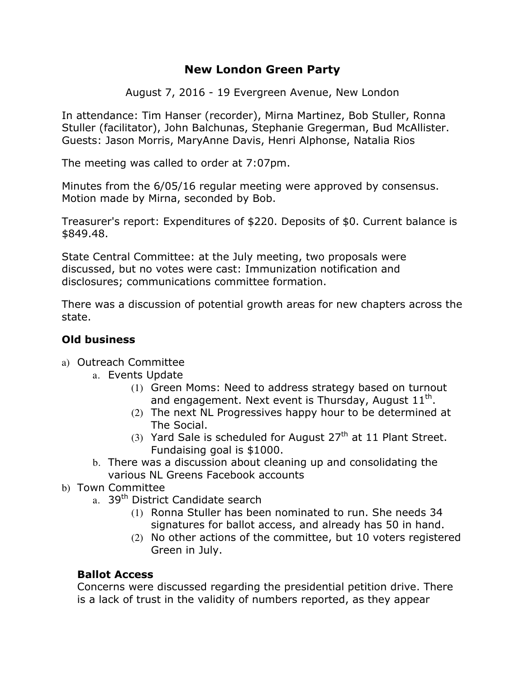# **New London Green Party**

August 7, 2016 - 19 Evergreen Avenue, New London

In attendance: Tim Hanser (recorder), Mirna Martinez, Bob Stuller, Ronna Stuller (facilitator), John Balchunas, Stephanie Gregerman, Bud McAllister. Guests: Jason Morris, MaryAnne Davis, Henri Alphonse, Natalia Rios

The meeting was called to order at 7:07pm.

Minutes from the 6/05/16 regular meeting were approved by consensus. Motion made by Mirna, seconded by Bob.

Treasurer's report: Expenditures of \$220. Deposits of \$0. Current balance is \$849.48.

State Central Committee: at the July meeting, two proposals were discussed, but no votes were cast: Immunization notification and disclosures; communications committee formation.

There was a discussion of potential growth areas for new chapters across the state.

### **Old business**

- a) Outreach Committee
	- a. Events Update
		- (1) Green Moms: Need to address strategy based on turnout and engagement. Next event is Thursday, August  $11^{\text{th}}$ .
		- (2) The next NL Progressives happy hour to be determined at The Social.
		- (3) Yard Sale is scheduled for August  $27<sup>th</sup>$  at 11 Plant Street. Fundaising goal is \$1000.
	- b. There was a discussion about cleaning up and consolidating the various NL Greens Facebook accounts
- b) Town Committee
	- a. 39<sup>th</sup> District Candidate search
		- (1) Ronna Stuller has been nominated to run. She needs 34 signatures for ballot access, and already has 50 in hand.
		- (2) No other actions of the committee, but 10 voters registered Green in July.

### **Ballot Access**

Concerns were discussed regarding the presidential petition drive. There is a lack of trust in the validity of numbers reported, as they appear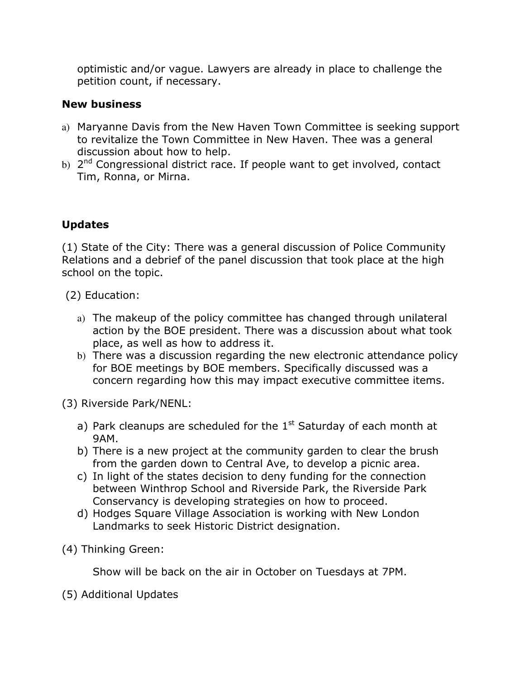optimistic and/or vague. Lawyers are already in place to challenge the petition count, if necessary.

## **New business**

- a) Maryanne Davis from the New Haven Town Committee is seeking support to revitalize the Town Committee in New Haven. Thee was a general discussion about how to help.
- b) 2<sup>nd</sup> Congressional district race. If people want to get involved, contact Tim, Ronna, or Mirna.

# **Updates**

(1) State of the City: There was a general discussion of Police Community Relations and a debrief of the panel discussion that took place at the high school on the topic.

(2) Education:

- a) The makeup of the policy committee has changed through unilateral action by the BOE president. There was a discussion about what took place, as well as how to address it.
- b) There was a discussion regarding the new electronic attendance policy for BOE meetings by BOE members. Specifically discussed was a concern regarding how this may impact executive committee items.

(3) Riverside Park/NENL:

- a) Park cleanups are scheduled for the  $1<sup>st</sup>$  Saturday of each month at 9AM.
- b) There is a new project at the community garden to clear the brush from the garden down to Central Ave, to develop a picnic area.
- c) In light of the states decision to deny funding for the connection between Winthrop School and Riverside Park, the Riverside Park Conservancy is developing strategies on how to proceed.
- d) Hodges Square Village Association is working with New London Landmarks to seek Historic District designation.
- (4) Thinking Green:

Show will be back on the air in October on Tuesdays at 7PM.

(5) Additional Updates